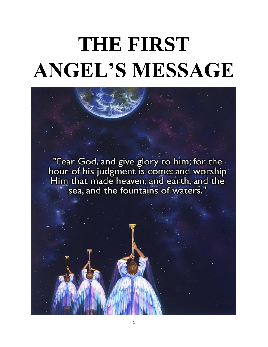# **THE FIRST ANGEL'S MESSAGE**

"Fear God, and give glory to him; for the hour of his judgment is come: and worship<br>Him that made heaven, and earth, and the sea, and the fountains of waters.'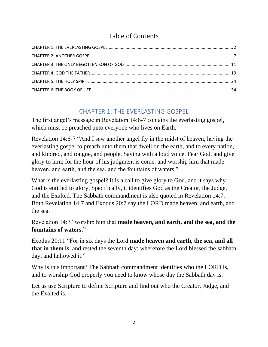## Table of Contents

# CHAPTER 1: THE EVERLASTING GOSPEL

<span id="page-1-0"></span>The first angel's message in Revelation 14:6-7 contains the everlasting gospel, which must be preached unto everyone who lives on Earth.

Revelation 14:6-7 "And I saw another angel fly in the midst of heaven, having the everlasting gospel to preach unto them that dwell on the earth, and to every nation, and kindred, and tongue, and people, Saying with a loud voice, Fear God, and give glory to him; for the hour of his judgment is come: and worship him that made heaven, and earth, and the sea, and the fountains of waters."

What is the everlasting gospel? It is a call to give glory to God, and it says why God is entitled to glory. Specifically, it identifies God as the Creator, the Judge, and the Exalted. The Sabbath commandment is also quoted in Revelation 14:7. Both Revelation 14:7 and Exodus 20:7 say the LORD made heaven, and earth, and the sea.

Revelation 14:7 "worship him that **made heaven, and earth, and the sea, and the fountains of waters**."

Exodus 20:11 "For in six days the Lord **made heaven and earth, the sea, and all that in them is**, and rested the seventh day: wherefore the Lord blessed the sabbath day, and hallowed it."

Why is this important? The Sabbath commandment identifies who the LORD is, and to worship God properly you need to know whose day the Sabbath day is.

Let us use Scripture to define Scripture and find out who the Creator, Judge, and the Exalted is.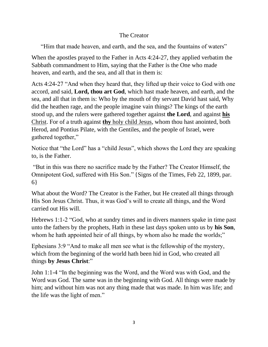#### The Creator

"Him that made heaven, and earth, and the sea, and the fountains of waters"

When the apostles prayed to the Father in Acts 4:24-27, they applied verbatim the Sabbath commandment to Him, saying that the Father is the One who made heaven, and earth, and the sea, and all that in them is:

Acts 4:24-27 "And when they heard that, they lifted up their voice to God with one accord, and said, **Lord, thou art God**, which hast made heaven, and earth, and the sea, and all that in them is: Who by the mouth of thy servant David hast said, Why did the heathen rage, and the people imagine vain things? The kings of the earth stood up, and the rulers were gathered together against **the Lord**, and against **his** Christ. For of a truth against **thy** holy child Jesus, whom thou hast anointed, both Herod, and Pontius Pilate, with the Gentiles, and the people of Israel, were gathered together,"

Notice that "the Lord" has a "child Jesus", which shows the Lord they are speaking to, is the Father.

"But in this was there no sacrifice made by the Father? The Creator Himself, the Omnipotent God, suffered with His Son." {Signs of the Times, Feb 22, 1899, par. 6}

What about the Word? The Creator is the Father, but He created all things through His Son Jesus Christ. Thus, it was God's will to create all things, and the Word carried out His will.

Hebrews 1:1-2 "God, who at sundry times and in divers manners spake in time past unto the fathers by the prophets, Hath in these last days spoken unto us by **his Son**, whom he hath appointed heir of all things, by whom also he made the worlds;"

Ephesians 3:9 "And to make all men see what is the fellowship of the mystery, which from the beginning of the world hath been hid in God, who created all things **by Jesus Christ**:"

John 1:1-4 "In the beginning was the Word, and the Word was with God, and the Word was God. The same was in the beginning with God. All things were made by him; and without him was not any thing made that was made. In him was life; and the life was the light of men."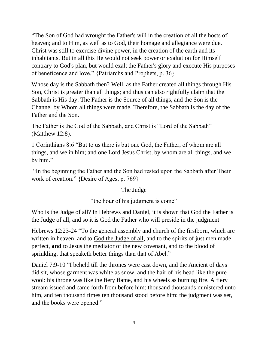"The Son of God had wrought the Father's will in the creation of all the hosts of heaven; and to Him, as well as to God, their homage and allegiance were due. Christ was still to exercise divine power, in the creation of the earth and its inhabitants. But in all this He would not seek power or exaltation for Himself contrary to God's plan, but would exalt the Father's glory and execute His purposes of beneficence and love." {Patriarchs and Prophets, p. 36}

Whose day is the Sabbath then? Well, as the Father created all things through His Son, Christ is greater than all things; and thus can also rightfully claim that the Sabbath is His day. The Father is the Source of all things, and the Son is the Channel by Whom all things were made. Therefore, the Sabbath is the day of the Father and the Son.

The Father is the God of the Sabbath, and Christ is "Lord of the Sabbath" (Matthew 12:8).

1 Corinthians 8:6 "But to us there is but one God, the Father, of whom are all things, and we in him; and one Lord Jesus Christ, by whom are all things, and we by him."

"In the beginning the Father and the Son had rested upon the Sabbath after Their work of creation." {Desire of Ages, p. 769}

#### The Judge

"the hour of his judgment is come"

Who is the Judge of all? In Hebrews and Daniel, it is shown that God the Father is the Judge of all, and so it is God the Father who will preside in the judgment

Hebrews 12:23-24 "To the general assembly and church of the firstborn, which are written in heaven, and to God the Judge of all, and to the spirits of just men made perfect, **and** to Jesus the mediator of the new covenant, and to the blood of sprinkling, that speaketh better things than that of Abel."

Daniel 7:9-10 "I beheld till the thrones were cast down, and the Ancient of days did sit, whose garment was white as snow, and the hair of his head like the pure wool: his throne was like the fiery flame, and his wheels as burning fire. A fiery stream issued and came forth from before him: thousand thousands ministered unto him, and ten thousand times ten thousand stood before him: the judgment was set, and the books were opened."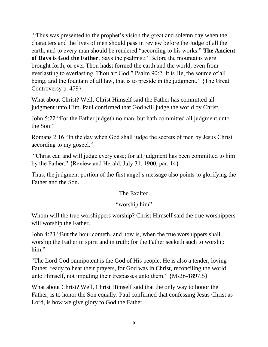"Thus was presented to the prophet's vision the great and solemn day when the characters and the lives of men should pass in review before the Judge of all the earth, and to every man should be rendered "according to his works." **The Ancient of Days is God the Father**. Says the psalmist: "Before the mountains were brought forth, or ever Thou hadst formed the earth and the world, even from everlasting to everlasting, Thou art God." Psalm 90:2. It is He, the source of all being, and the fountain of all law, that is to preside in the judgment." {The Great Controversy p. 479}

What about Christ? Well, Christ Himself said the Father has committed all judgment unto Him. Paul confirmed that God will judge the world by Christ.

John 5:22 "For the Father judgeth no man, but hath committed all judgment unto the Son:"

Romans 2:16 "In the day when God shall judge the secrets of men by Jesus Christ according to my gospel."

"Christ can and will judge every case; for all judgment has been committed to him by the Father." {Review and Herald, July 31, 1900, par. 14}

Thus, the judgment portion of the first angel's message also points to glorifying the Father and the Son.

#### The Exalted

#### "worship him"

Whom will the true worshippers worship? Christ Himself said the true worshippers will worship the Father.

John 4:23 "But the hour cometh, and now is, when the true worshippers shall worship the Father in spirit and in truth: for the Father seeketh such to worship him."

"The Lord God omnipotent is the God of His people. He is also a tender, loving Father, ready to hear their prayers, for God was in Christ, reconciling the world unto Himself, not imputing their trespasses unto them." {Ms36-1897.5}

What about Christ? Well, Christ Himself said that the only way to honor the Father, is to honor the Son equally. Paul confirmed that confessing Jesus Christ as Lord, is how we give glory to God the Father.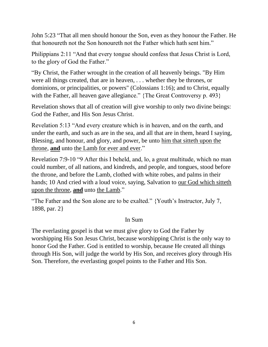John 5:23 "That all men should honour the Son, even as they honour the Father. He that honoureth not the Son honoureth not the Father which hath sent him."

Philippians 2:11 "And that every tongue should confess that Jesus Christ is Lord, to the glory of God the Father."

"By Christ, the Father wrought in the creation of all heavenly beings. "By Him were all things created, that are in heaven, . . . whether they be thrones, or dominions, or principalities, or powers" (Colossians 1:16); and to Christ, equally with the Father, all heaven gave allegiance." {The Great Controversy p. 493}

Revelation shows that all of creation will give worship to only two divine beings: God the Father, and His Son Jesus Christ.

Revelation 5:13 "And every creature which is in heaven, and on the earth, and under the earth, and such as are in the sea, and all that are in them, heard I saying, Blessing, and honour, and glory, and power, be unto him that sitteth upon the throne, **and** unto the Lamb for ever and ever."

Revelation 7:9-10 "9 After this I beheld, and, lo, a great multitude, which no man could number, of all nations, and kindreds, and people, and tongues, stood before the throne, and before the Lamb, clothed with white robes, and palms in their hands; 10 And cried with a loud voice, saying, Salvation to our God which sitteth upon the throne, **and** unto the Lamb."

"The Father and the Son alone are to be exalted." {Youth's Instructor, July 7, 1898, par. 2}

#### In Sum

The everlasting gospel is that we must give glory to God the Father by worshipping His Son Jesus Christ, because worshipping Christ is the only way to honor God the Father. God is entitled to worship, because He created all things through His Son, will judge the world by His Son, and receives glory through His Son. Therefore, the everlasting gospel points to the Father and His Son.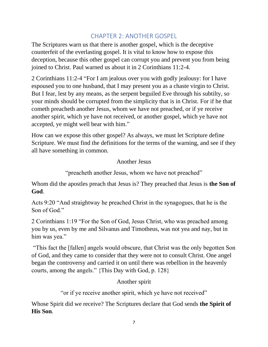## CHAPTER 2: ANOTHER GOSPEL

<span id="page-6-0"></span>The Scriptures warn us that there is another gospel, which is the deceptive counterfeit of the everlasting gospel. It is vital to know how to expose this deception, because this other gospel can corrupt you and prevent you from being joined to Christ. Paul warned us about it in 2 Corinthians 11:2-4.

2 Corinthians 11:2-4 "For I am jealous over you with godly jealousy: for I have espoused you to one husband, that I may present you as a chaste virgin to Christ. But I fear, lest by any means, as the serpent beguiled Eve through his subtilty, so your minds should be corrupted from the simplicity that is in Christ. For if he that cometh preacheth another Jesus, whom we have not preached, or if ye receive another spirit, which ye have not received, or another gospel, which ye have not accepted, ye might well bear with him."

How can we expose this other gospel? As always, we must let Scripture define Scripture. We must find the definitions for the terms of the warning, and see if they all have something in common.

Another Jesus

"preacheth another Jesus, whom we have not preached"

Whom did the apostles preach that Jesus is? They preached that Jesus is **the Son of God**.

Acts 9:20 "And straightway he preached Christ in the synagogues, that he is the Son of God."

2 Corinthians 1:19 "For the Son of God, Jesus Christ, who was preached among you by us, even by me and Silvanus and Timotheus, was not yea and nay, but in him was yea."

"This fact the [fallen] angels would obscure, that Christ was the only begotten Son of God, and they came to consider that they were not to consult Christ. One angel began the controversy and carried it on until there was rebellion in the heavenly courts, among the angels." {This Day with God, p. 128}

Another spirit

"or if ye receive another spirit, which ye have not received"

Whose Spirit did we receive? The Scriptures declare that God sends **the Spirit of His Son**.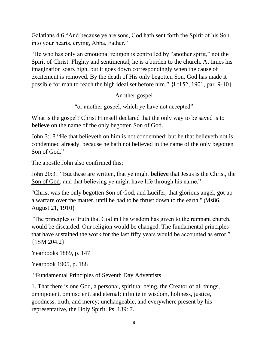Galatians 4:6 "And because ye are sons, God hath sent forth the Spirit of his Son into your hearts, crying, Abba, Father."

"He who has only an emotional religion is controlled by "another spirit," not the Spirit of Christ. Flighty and sentimental, he is a burden to the church. At times his imagination soars high, but it goes down correspondingly when the cause of excitement is removed. By the death of His only begotten Son, God has made it possible for man to reach the high ideal set before him." {Lt152, 1901, par. 9-10}

Another gospel

"or another gospel, which ye have not accepted"

What is the gospel? Christ Himself declared that the only way to be saved is to **believe** on the name of the only begotten Son of God.

John 3:18 "He that believeth on him is not condemned: but he that believeth not is condemned already, because he hath not believed in the name of the only begotten Son of God."

The apostle John also confirmed this:

John 20:31 "But these are written, that ye might **believe** that Jesus is the Christ, the Son of God; and that believing ye might have life through his name."

"Christ was the only begotten Son of God, and Lucifer, that glorious angel, got up a warfare over the matter, until he had to be thrust down to the earth." {Ms86, August 21, 1910}

"The principles of truth that God in His wisdom has given to the remnant church, would be discarded. Our religion would be changed. The fundamental principles that have sustained the work for the last fifty years would be accounted as error." {1SM 204.2}

Yearbooks 1889, p. 147

Yearbook 1905, p. 188

"Fundamental Principles of Seventh Day Adventists

1. That there is one God, a personal, spiritual being, the Creator of all things, omnipotent, omniscient, and eternal; infinite in wisdom, holiness, justice, goodness, truth, and mercy; unchangeable, and everywhere present by his representative, the Holy Spirit. Ps. 139: 7.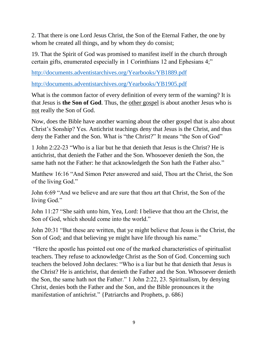2. That there is one Lord Jesus Christ, the Son of the Eternal Father, the one by whom he created all things, and by whom they do consist;

19. That the Spirit of God was promised to manifest itself in the church through certain gifts, enumerated especially in 1 Corinthians 12 and Ephesians 4;"

<http://documents.adventistarchives.org/Yearbooks/YB1889.pdf>

<http://documents.adventistarchives.org/Yearbooks/YB1905.pdf>

What is the common factor of every definition of every term of the warning? It is that Jesus is **the Son of God**. Thus, the other gospel is about another Jesus who is not really the Son of God.

Now, does the Bible have another warning about the other gospel that is also about Christ's Sonship? Yes. Antichrist teachings deny that Jesus is the Christ, and thus deny the Father and the Son. What is "the Christ?" It means "the Son of God"

1 John 2:22-23 "Who is a liar but he that denieth that Jesus is the Christ? He is antichrist, that denieth the Father and the Son. Whosoever denieth the Son, the same hath not the Father: he that acknowledgeth the Son hath the Father also."

Matthew 16:16 "And Simon Peter answered and said, Thou art the Christ, the Son of the living God."

John 6:69 "And we believe and are sure that thou art that Christ, the Son of the living God."

John 11:27 "She saith unto him, Yea, Lord: I believe that thou art the Christ, the Son of God, which should come into the world."

John 20:31 "But these are written, that ye might believe that Jesus is the Christ, the Son of God; and that believing ye might have life through his name."

"Here the apostle has pointed out one of the marked characteristics of spiritualist teachers. They refuse to acknowledge Christ as the Son of God. Concerning such teachers the beloved John declares: "Who is a liar but he that denieth that Jesus is the Christ? He is antichrist, that denieth the Father and the Son. Whosoever denieth the Son, the same hath not the Father." 1 John 2:22, 23. Spiritualism, by denying Christ, denies both the Father and the Son, and the Bible pronounces it the manifestation of antichrist." {Patriarchs and Prophets, p. 686}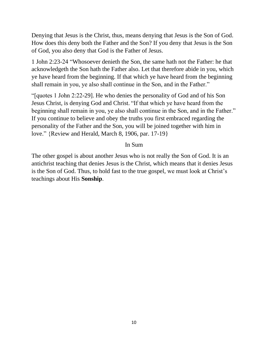Denying that Jesus is the Christ, thus, means denying that Jesus is the Son of God. How does this deny both the Father and the Son? If you deny that Jesus is the Son of God, you also deny that God is the Father of Jesus.

1 John 2:23-24 "Whosoever denieth the Son, the same hath not the Father: he that acknowledgeth the Son hath the Father also. Let that therefore abide in you, which ye have heard from the beginning. If that which ye have heard from the beginning shall remain in you, ye also shall continue in the Son, and in the Father."

"[quotes 1 John 2:22-29]. He who denies the personality of God and of his Son Jesus Christ, is denying God and Christ. "If that which ye have heard from the beginning shall remain in you, ye also shall continue in the Son, and in the Father." If you continue to believe and obey the truths you first embraced regarding the personality of the Father and the Son, you will be joined together with him in love." {Review and Herald, March 8, 1906, par. 17-19}

#### In Sum

The other gospel is about another Jesus who is not really the Son of God. It is an antichrist teaching that denies Jesus is the Christ, which means that it denies Jesus is the Son of God. Thus, to hold fast to the true gospel, we must look at Christ's teachings about His **Sonship**.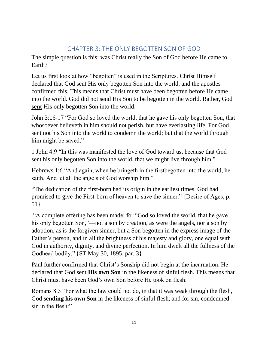## CHAPTER 3: THE ONLY BEGOTTEN SON OF GOD

<span id="page-10-0"></span>The simple question is this: was Christ really the Son of God before He came to Earth?

Let us first look at how "begotten" is used in the Scriptures. Christ Himself declared that God sent His only begotten Son into the world, and the apostles confirmed this. This means that Christ must have been begotten before He came into the world. God did not send His Son to be begotten in the world. Rather, God **sent** His only begotten Son into the world.

John 3:16-17 "For God so loved the world, that he gave his only begotten Son, that whosoever believeth in him should not perish, but have everlasting life. For God sent not his Son into the world to condemn the world; but that the world through him might be saved."

1 John 4:9 "In this was manifested the love of God toward us, because that God sent his only begotten Son into the world, that we might live through him."

Hebrews 1:6 "And again, when he bringeth in the firstbegotten into the world, he saith, And let all the angels of God worship him."

"The dedication of the first-born had its origin in the earliest times. God had promised to give the First-born of heaven to save the sinner." {Desire of Ages, p. 51}

"A complete offering has been made; for "God so loved the world, that he gave his only begotten Son,"—not a son by creation, as were the angels, nor a son by adoption, as is the forgiven sinner, but a Son begotten in the express image of the Father's person, and in all the brightness of his majesty and glory, one equal with God in authority, dignity, and divine perfection. In him dwelt all the fullness of the Godhead bodily." {ST May 30, 1895, par. 3}

Paul further confirmed that Christ's Sonship did not begin at the incarnation. He declared that God sent **His own Son** in the likeness of sinful flesh. This means that Christ must have been God's own Son before He took on flesh.

Romans 8:3 "For what the law could not do, in that it was weak through the flesh, God **sending his own Son** in the likeness of sinful flesh, and for sin, condemned sin in the flesh:"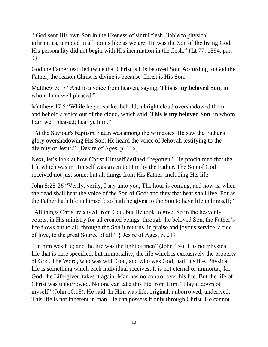"God sent His own Son in the likeness of sinful flesh, liable to physical infirmities, tempted in all points like as we are. He was the Son of the living God. His personality did not begin with His incarnation in the flesh." {Lt 77, 1894, par. 9}

God the Father testified twice that Christ is His beloved Son. According to God the Father, the reason Christ is divine is because Christ is His Son.

Matthew 3:17 "And lo a voice from heaven, saying, **This is my beloved Son**, in whom I am well pleased."

Matthew 17:5 "While he yet spake, behold, a bright cloud overshadowed them: and behold a voice out of the cloud, which said, **This is my beloved Son**, in whom I am well pleased; hear ye him."

"At the Saviour's baptism, Satan was among the witnesses. He saw the Father's glory overshadowing His Son. He heard the voice of Jehovah testifying to the divinity of Jesus." {Desire of Ages, p. 116}

Next, let's look at how Christ Himself defined "begotten." He proclaimed that the life which was in Himself was given to Him by the Father. The Son of God received not just some, but all things from His Father, including His life.

John 5:25-26 "Verily, verily, I say unto you, The hour is coming, and now is, when the dead shall hear the voice of the Son of God: and they that hear shall live. For as the Father hath life in himself; so hath he **given** to the Son to have life in himself;"

"All things Christ received from God, but He took to give. So in the heavenly courts, in His ministry for all created beings: through the beloved Son, the Father's life flows out to all; through the Son it returns, in praise and joyous service, a tide of love, to the great Source of all." {Desire of Ages, p. 21}

"In him was life; and the life was the light of men" (John 1:4). It is not physical life that is here specified, but immortality, the life which is exclusively the property of God. The Word, who was with God, and who was God, had this life. Physical life is something which each individual receives. It is not eternal or immortal; for God, the Life-giver, takes it again. Man has no control over his life. But the life of Christ was unborrowed. No one can take this life from Him. "I lay it down of myself" (John 10:18), He said. In Him was life, original, unborrowed, underived. This life is not inherent in man. He can possess it only through Christ. He cannot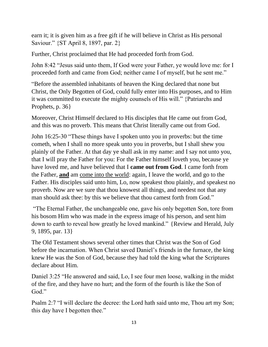earn it; it is given him as a free gift if he will believe in Christ as His personal Saviour." {ST April 8, 1897, par. 2}

Further, Christ proclaimed that He had proceeded forth from God.

John 8:42 "Jesus said unto them, If God were your Father, ye would love me: for I proceeded forth and came from God; neither came I of myself, but he sent me."

"Before the assembled inhabitants of heaven the King declared that none but Christ, the Only Begotten of God, could fully enter into His purposes, and to Him it was committed to execute the mighty counsels of His will." {Patriarchs and Prophets, p. 36}

Moreover, Christ Himself declared to His disciples that He came out from God, and this was no proverb. This means that Christ literally came out from God.

John 16:25-30 "These things have I spoken unto you in proverbs: but the time cometh, when I shall no more speak unto you in proverbs, but I shall shew you plainly of the Father. At that day ye shall ask in my name: and I say not unto you, that I will pray the Father for you: For the Father himself loveth you, because ye have loved me, and have believed that I **came out from God**. I came forth from the Father, **and** am come into the world: again, I leave the world, and go to the Father. His disciples said unto him, Lo, now speakest thou plainly, and speakest no proverb. Now are we sure that thou knowest all things, and needest not that any man should ask thee: by this we believe that thou camest forth from God."

"The Eternal Father, the unchangeable one, gave his only begotten Son, tore from his bosom Him who was made in the express image of his person, and sent him down to earth to reveal how greatly he loved mankind." {Review and Herald, July 9, 1895, par. 13}

The Old Testament shows several other times that Christ was the Son of God before the incarnation. When Christ saved Daniel's friends in the furnace, the king knew He was the Son of God, because they had told the king what the Scriptures declare about Him.

Daniel 3:25 "He answered and said, Lo, I see four men loose, walking in the midst of the fire, and they have no hurt; and the form of the fourth is like the Son of God."

Psalm 2:7 "I will declare the decree: the Lord hath said unto me, Thou art my Son; this day have I begotten thee."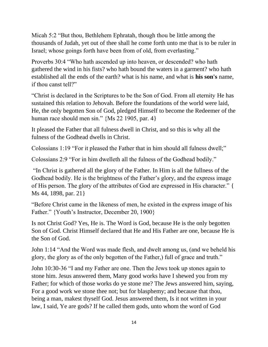Micah 5:2 "But thou, Bethlehem Ephratah, though thou be little among the thousands of Judah, yet out of thee shall he come forth unto me that is to be ruler in Israel; whose goings forth have been from of old, from everlasting."

Proverbs 30:4 "Who hath ascended up into heaven, or descended? who hath gathered the wind in his fists? who hath bound the waters in a garment? who hath established all the ends of the earth? what is his name, and what is **his son's** name, if thou canst tell?"

"Christ is declared in the Scriptures to be the Son of God. From all eternity He has sustained this relation to Jehovah. Before the foundations of the world were laid, He, the only begotten Son of God, pledged Himself to become the Redeemer of the human race should men sin." {Ms 22 1905, par. 4}

It pleased the Father that all fulness dwell in Christ, and so this is why all the fulness of the Godhead dwells in Christ.

Colossians 1:19 "For it pleased the Father that in him should all fulness dwell;"

Colossians 2:9 "For in him dwelleth all the fulness of the Godhead bodily."

"In Christ is gathered all the glory of the Father. In Him is all the fullness of the Godhead bodily. He is the brightness of the Father's glory, and the express image of His person. The glory of the attributes of God are expressed in His character." { Ms 44, 1898, par. 21}

"Before Christ came in the likeness of men, he existed in the express image of his Father." {Youth's Instructor, December 20, 1900}

Is not Christ God? Yes, He is. The Word is God, because He is the only begotten Son of God. Christ Himself declared that He and His Father are one, because He is the Son of God.

John 1:14 "And the Word was made flesh, and dwelt among us, (and we beheld his glory, the glory as of the only begotten of the Father,) full of grace and truth."

John 10:30-36 "I and my Father are one. Then the Jews took up stones again to stone him. Jesus answered them, Many good works have I shewed you from my Father; for which of those works do ye stone me? The Jews answered him, saying, For a good work we stone thee not; but for blasphemy; and because that thou, being a man, makest thyself God. Jesus answered them, Is it not written in your law, I said, Ye are gods? If he called them gods, unto whom the word of God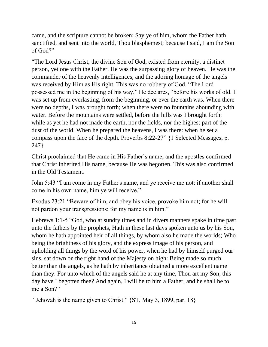came, and the scripture cannot be broken; Say ye of him, whom the Father hath sanctified, and sent into the world, Thou blasphemest; because I said, I am the Son of God?"

"The Lord Jesus Christ, the divine Son of God, existed from eternity, a distinct person, yet one with the Father. He was the surpassing glory of heaven. He was the commander of the heavenly intelligences, and the adoring homage of the angels was received by Him as His right. This was no robbery of God. "The Lord possessed me in the beginning of his way," He declares, "before his works of old. I was set up from everlasting, from the beginning, or ever the earth was. When there were no depths, I was brought forth; when there were no fountains abounding with water. Before the mountains were settled, before the hills was I brought forth: while as yet he had not made the earth, nor the fields, nor the highest part of the dust of the world. When he prepared the heavens, I was there: when he set a compass upon the face of the depth. Proverbs 8:22-27" {1 Selected Messages, p. 247}

Christ proclaimed that He came in His Father's name; and the apostles confirmed that Christ inherited His name, because He was begotten. This was also confirmed in the Old Testament.

John 5:43 "I am come in my Father's name, and ye receive me not: if another shall come in his own name, him ye will receive."

Exodus 23:21 "Beware of him, and obey his voice, provoke him not; for he will not pardon your transgressions: for my name is in him."

Hebrews 1:1-5 "God, who at sundry times and in divers manners spake in time past unto the fathers by the prophets, Hath in these last days spoken unto us by his Son, whom he hath appointed heir of all things, by whom also he made the worlds; Who being the brightness of his glory, and the express image of his person, and upholding all things by the word of his power, when he had by himself purged our sins, sat down on the right hand of the Majesty on high: Being made so much better than the angels, as he hath by inheritance obtained a more excellent name than they. For unto which of the angels said he at any time, Thou art my Son, this day have I begotten thee? And again, I will be to him a Father, and he shall be to me a Son?"

"Jehovah is the name given to Christ." {ST, May 3, 1899, par. 18}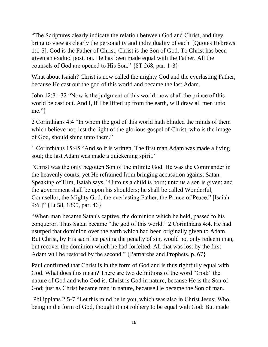"The Scriptures clearly indicate the relation between God and Christ, and they bring to view as clearly the personality and individuality of each. [Quotes Hebrews 1:1-5]. God is the Father of Christ; Christ is the Son of God. To Christ has been given an exalted position. He has been made equal with the Father. All the counsels of God are opened to His Son." {8T 268, par. 1-3}

What about Isaiah? Christ is now called the mighty God and the everlasting Father, because He cast out the god of this world and became the last Adam.

John 12:31-32 "Now is the judgment of this world: now shall the prince of this world be cast out. And I, if I be lifted up from the earth, will draw all men unto me."}

2 Corinthians 4:4 "In whom the god of this world hath blinded the minds of them which believe not, lest the light of the glorious gospel of Christ, who is the image of God, should shine unto them."

1 Corinthians 15:45 "And so it is written, The first man Adam was made a living soul; the last Adam was made a quickening spirit."

"Christ was the only begotten Son of the infinite God, He was the Commander in the heavenly courts, yet He refrained from bringing accusation against Satan. Speaking of Him, Isaiah says, "Unto us a child is born; unto us a son is given; and the government shall be upon his shoulders; he shall be called Wonderful, Counsellor, the Mighty God, the everlasting Father, the Prince of Peace." [Isaiah 9:6.]" {Lt 58, 1895, par. 46}

"When man became Satan's captive, the dominion which he held, passed to his conqueror. Thus Satan became "the god of this world." 2 Corinthians 4:4. He had usurped that dominion over the earth which had been originally given to Adam. But Christ, by His sacrifice paying the penalty of sin, would not only redeem man, but recover the dominion which he had forfeited. All that was lost by the first Adam will be restored by the second." {Patriarchs and Prophets, p. 67}

Paul confirmed that Christ is in the form of God and is thus rightfully equal with God. What does this mean? There are two definitions of the word "God:" the nature of God and who God is. Christ is God in nature, because He is the Son of God; just as Christ became man in nature, because He became the Son of man.

Philippians 2:5-7 "Let this mind be in you, which was also in Christ Jesus: Who, being in the form of God, thought it not robbery to be equal with God: But made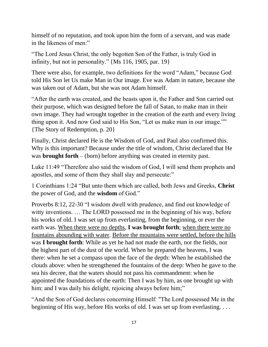himself of no reputation, and took upon him the form of a servant, and was made in the likeness of men:"

"The Lord Jesus Christ, the only begotten Son of the Father, is truly God in infinity, but not in personality." {Ms 116, 1905, par. 19}

There were also, for example, two definitions for the word "Adam," because God told His Son let Us make Man in Our image. Eve was Adam in nature, because she was taken out of Adam, but she was not Adam himself.

"After the earth was created, and the beasts upon it, the Father and Son carried out their purpose, which was designed before the fall of Satan, to make man in their own image. They had wrought together in the creation of the earth and every living thing upon it. And now God said to His Son, "Let us make man in our image."" {The Story of Redemption, p. 20}

Finally, Christ declared He is the Wisdom of God, and Paul also confirmed this. Why is this important? Because under the title of wisdom, Christ declared that He was **brought forth** – (born) before anything was created in eternity past.

Luke 11:49 "Therefore also said the wisdom of God, I will send them prophets and apostles, and some of them they shall slay and persecute:"

1 Corinthians 1:24 "But unto them which are called, both Jews and Greeks, **Christ** the power of God, and the **wisdom** of God."

Proverbs 8:12, 22-30 "I wisdom dwell with prudence, and find out knowledge of witty inventions. ... The LORD possessed me in the beginning of his way, before his works of old. I was set up from everlasting, from the beginning, or ever the earth was. When there were no depths, **I was brought forth**; when there were no fountains abounding with water. Before the mountains were settled, before the hills was **I brought forth**: While as yet he had not made the earth, nor the fields, nor the highest part of the dust of the world. When he prepared the heavens, I was there: when he set a compass upon the face of the depth: When he established the clouds above: when he strengthened the fountains of the deep: When he gave to the sea his decree, that the waters should not pass his commandment: when he appointed the foundations of the earth: Then I was by him, as one brought up with him: and I was daily his delight, rejoicing always before him;"

"And the Son of God declares concerning Himself: "The Lord possessed Me in the beginning of His way, before His works of old. I was set up from everlasting. . . .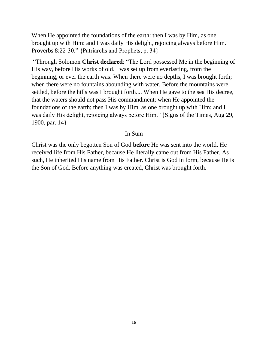When He appointed the foundations of the earth: then I was by Him, as one brought up with Him: and I was daily His delight, rejoicing always before Him." Proverbs 8:22-30." {Patriarchs and Prophets, p. 34}

"Through Solomon **Christ declared**: "The Lord possessed Me in the beginning of His way, before His works of old. I was set up from everlasting, from the beginning, or ever the earth was. When there were no depths, I was brought forth; when there were no fountains abounding with water. Before the mountains were settled, before the hills was I brought forth.... When He gave to the sea His decree, that the waters should not pass His commandment; when He appointed the foundations of the earth; then I was by Him, as one brought up with Him; and I was daily His delight, rejoicing always before Him." {Signs of the Times, Aug 29, 1900, par. 14}

#### In Sum

Christ was the only begotten Son of God **before** He was sent into the world. He received life from His Father, because He literally came out from His Father. As such, He inherited His name from His Father. Christ is God in form, because He is the Son of God. Before anything was created, Christ was brought forth.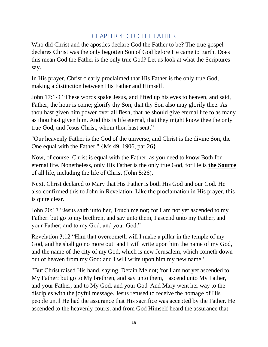### CHAPTER 4: GOD THE FATHER

<span id="page-18-0"></span>Who did Christ and the apostles declare God the Father to be? The true gospel declares Christ was the only begotten Son of God before He came to Earth. Does this mean God the Father is the only true God? Let us look at what the Scriptures say.

In His prayer, Christ clearly proclaimed that His Father is the only true God, making a distinction between His Father and Himself.

John 17:1-3 "These words spake Jesus, and lifted up his eyes to heaven, and said, Father, the hour is come; glorify thy Son, that thy Son also may glorify thee: As thou hast given him power over all flesh, that he should give eternal life to as many as thou hast given him. And this is life eternal, that they might know thee the only true God, and Jesus Christ, whom thou hast sent."

"Our heavenly Father is the God of the universe, and Christ is the divine Son, the One equal with the Father." {Ms 49, 1906, par.26}

Now, of course, Christ is equal with the Father, as you need to know Both for eternal life. Nonetheless, only His Father is the only true God, for He is **the Source** of all life, including the life of Christ (John 5:26).

Next, Christ declared to Mary that His Father is both His God and our God. He also confirmed this to John in Revelation. Like the proclamation in His prayer, this is quite clear.

John 20:17 "Jesus saith unto her, Touch me not; for I am not yet ascended to my Father: but go to my brethren, and say unto them, I ascend unto my Father, and your Father; and to my God, and your God."

Revelation 3:12 "Him that overcometh will I make a pillar in the temple of my God, and he shall go no more out: and I will write upon him the name of my God, and the name of the city of my God, which is new Jerusalem, which cometh down out of heaven from my God: and I will write upon him my new name.'

"But Christ raised His hand, saying, Detain Me not; 'for I am not yet ascended to My Father: but go to My brethren, and say unto them, I ascend unto My Father, and your Father; and to My God, and your God' And Mary went her way to the disciples with the joyful message. Jesus refused to receive the homage of His people until He had the assurance that His sacrifice was accepted by the Father. He ascended to the heavenly courts, and from God Himself heard the assurance that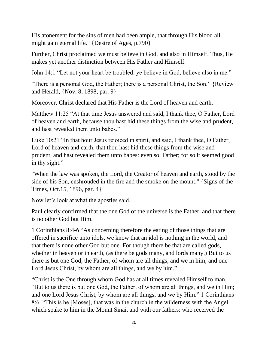His atonement for the sins of men had been ample, that through His blood all might gain eternal life." {Desire of Ages, p.790}

Further, Christ proclaimed we must believe in God, and also in Himself. Thus, He makes yet another distinction between His Father and Himself.

John 14:1 "Let not your heart be troubled: ye believe in God, believe also in me."

"There is a personal God, the Father; there is a personal Christ, the Son." {Review and Herald, {Nov. 8, 1898, par. 9}

Moreover, Christ declared that His Father is the Lord of heaven and earth.

Matthew 11:25 "At that time Jesus answered and said, I thank thee, O Father, Lord of heaven and earth, because thou hast hid these things from the wise and prudent, and hast revealed them unto babes."

Luke 10:21 "In that hour Jesus rejoiced in spirit, and said, I thank thee, O Father, Lord of heaven and earth, that thou hast hid these things from the wise and prudent, and hast revealed them unto babes: even so, Father; for so it seemed good in thy sight."

"When the law was spoken, the Lord, the Creator of heaven and earth, stood by the side of his Son, enshrouded in the fire and the smoke on the mount." {Signs of the Times, Oct.15, 1896, par. 4}

Now let's look at what the apostles said.

Paul clearly confirmed that the one God of the universe is the Father, and that there is no other God but Him.

1 Corinthians 8:4-6 "As concerning therefore the eating of those things that are offered in sacrifice unto idols, we know that an idol is nothing in the world, and that there is none other God but one. For though there be that are called gods, whether in heaven or in earth, (as there be gods many, and lords many,) But to us there is but one God, the Father, of whom are all things, and we in him; and one Lord Jesus Christ, by whom are all things, and we by him."

"Christ is the One through whom God has at all times revealed Himself to man. "But to us there is but one God, the Father, of whom are all things, and we in Him; and one Lord Jesus Christ, by whom are all things, and we by Him." 1 Corinthians 8:6. "This is he [Moses], that was in the church in the wilderness with the Angel which spake to him in the Mount Sinai, and with our fathers: who received the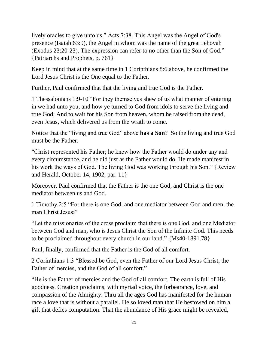lively oracles to give unto us." Acts 7:38. This Angel was the Angel of God's presence (Isaiah 63:9), the Angel in whom was the name of the great Jehovah (Exodus 23:20-23). The expression can refer to no other than the Son of God." {Patriarchs and Prophets, p. 761}

Keep in mind that at the same time in 1 Corinthians 8:6 above, he confirmed the Lord Jesus Christ is the One equal to the Father.

Further, Paul confirmed that that the living and true God is the Father.

1 Thessalonians 1:9-10 "For they themselves shew of us what manner of entering in we had unto you, and how ye turned to God from idols to serve the living and true God; And to wait for his Son from heaven, whom he raised from the dead, even Jesus, which delivered us from the wrath to come.

Notice that the "living and true God" above **has a Son**? So the living and true God must be the Father.

"Christ represented his Father; he knew how the Father would do under any and every circumstance, and he did just as the Father would do. He made manifest in his work the ways of God. The living God was working through his Son." {Review and Herald, October 14, 1902, par. 11}

Moreover, Paul confirmed that the Father is the one God, and Christ is the one mediator between us and God.

1 Timothy 2:5 "For there is one God, and one mediator between God and men, the man Christ Jesus;"

"Let the missionaries of the cross proclaim that there is one God, and one Mediator between God and man, who is Jesus Christ the Son of the Infinite God. This needs to be proclaimed throughout every church in our land." {Ms40-1891.78}

Paul, finally, confirmed that the Father is the God of all comfort.

2 Corinthians 1:3 "Blessed be God, even the Father of our Lord Jesus Christ, the Father of mercies, and the God of all comfort."

"He is the Father of mercies and the God of all comfort. The earth is full of His goodness. Creation proclaims, with myriad voice, the forbearance, love, and compassion of the Almighty. Thru all the ages God has manifested for the human race a love that is without a parallel. He so loved man that He bestowed on him a gift that defies computation. That the abundance of His grace might be revealed,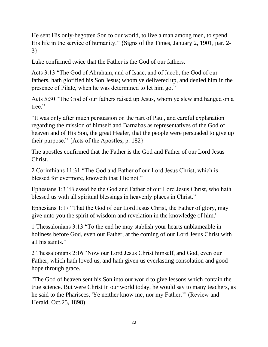He sent His only-begotten Son to our world, to live a man among men, to spend His life in the service of humanity." {Signs of the Times, January 2, 1901, par. 2- 3}

Luke confirmed twice that the Father is the God of our fathers.

Acts 3:13 "The God of Abraham, and of Isaac, and of Jacob, the God of our fathers, hath glorified his Son Jesus; whom ye delivered up, and denied him in the presence of Pilate, when he was determined to let him go."

Acts 5:30 "The God of our fathers raised up Jesus, whom ye slew and hanged on a tree."

"It was only after much persuasion on the part of Paul, and careful explanation regarding the mission of himself and Barnabas as representatives of the God of heaven and of His Son, the great Healer, that the people were persuaded to give up their purpose." {Acts of the Apostles, p. 182}

The apostles confirmed that the Father is the God and Father of our Lord Jesus Christ.

2 Corinthians 11:31 "The God and Father of our Lord Jesus Christ, which is blessed for evermore, knoweth that I lie not."

Ephesians 1:3 "Blessed be the God and Father of our Lord Jesus Christ, who hath blessed us with all spiritual blessings in heavenly places in Christ."

Ephesians 1:17 "That the God of our Lord Jesus Christ, the Father of glory, may give unto you the spirit of wisdom and revelation in the knowledge of him.'

1 Thessalonians 3:13 "To the end he may stablish your hearts unblameable in holiness before God, even our Father, at the coming of our Lord Jesus Christ with all his saints."

2 Thessalonians 2:16 "Now our Lord Jesus Christ himself, and God, even our Father, which hath loved us, and hath given us everlasting consolation and good hope through grace.'

"The God of heaven sent his Son into our world to give lessons which contain the true science. But were Christ in our world today, he would say to many teachers, as he said to the Pharisees, 'Ye neither know me, nor my Father.'" (Review and Herald, Oct.25, 1898)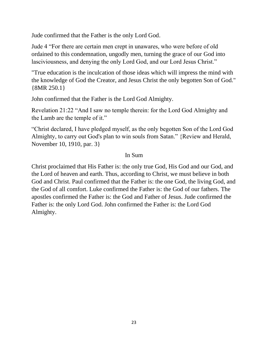Jude confirmed that the Father is the only Lord God.

Jude 4 "For there are certain men crept in unawares, who were before of old ordained to this condemnation, ungodly men, turning the grace of our God into lasciviousness, and denying the only Lord God, and our Lord Jesus Christ."

"True education is the inculcation of those ideas which will impress the mind with the knowledge of God the Creator, and Jesus Christ the only begotten Son of God." {8MR 250.1}

John confirmed that the Father is the Lord God Almighty.

Revelation 21:22 "And I saw no temple therein: for the Lord God Almighty and the Lamb are the temple of it."

"Christ declared, I have pledged myself, as the only begotten Son of the Lord God Almighty, to carry out God's plan to win souls from Satan." {Review and Herald, November 10, 1910, par. 3}

#### In Sum

Christ proclaimed that His Father is: the only true God, His God and our God, and the Lord of heaven and earth. Thus, according to Christ, we must believe in both God and Christ. Paul confirmed that the Father is: the one God, the living God, and the God of all comfort. Luke confirmed the Father is: the God of our fathers. The apostles confirmed the Father is: the God and Father of Jesus. Jude confirmed the Father is: the only Lord God. John confirmed the Father is: the Lord God Almighty.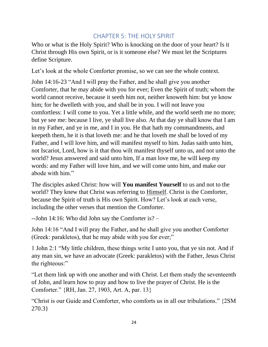## CHAPTER 5: THE HOLY SPIRIT

<span id="page-23-0"></span>Who or what is the Holy Spirit? Who is knocking on the door of your heart? Is it Christ through His own Spirit, or is it someone else? We must let the Scriptures define Scripture.

Let's look at the whole Comforter promise, so we can see the whole context.

John 14:16-23 "And I will pray the Father, and he shall give you another Comforter, that he may abide with you for ever; Even the Spirit of truth; whom the world cannot receive, because it seeth him not, neither knoweth him: but ye know him; for he dwelleth with you, and shall be in you. I will not leave you comfortless: I will come to you. Yet a little while, and the world seeth me no more; but ye see me: because I live, ye shall live also. At that day ye shall know that I am in my Father, and ye in me, and I in you. He that hath my commandments, and keepeth them, he it is that loveth me: and he that loveth me shall be loved of my Father, and I will love him, and will manifest myself to him. Judas saith unto him, not Iscariot, Lord, how is it that thou wilt manifest thyself unto us, and not unto the world? Jesus answered and said unto him, If a man love me, he will keep my words: and my Father will love him, and we will come unto him, and make our abode with him."

The disciples asked Christ: how will **You manifest Yourself** to us and not to the world? They knew that Christ was referring to Himself. Christ is the Comforter, because the Spirit of truth is His own Spirit. How? Let's look at each verse, including the other verses that mention the Comforter.

--John 14:16: Who did John say the Comforter is? –

John 14:16 "And I will pray the Father, and he shall give you another Comforter (Greek: parakletos), that he may abide with you for ever;"

1 John 2:1 "My little children, these things write I unto you, that ye sin not. And if any man sin, we have an advocate (Greek: parakletos) with the Father, Jesus Christ the righteous:"

"Let them link up with one another and with Christ. Let them study the seventeenth of John, and learn how to pray and how to live the prayer of Christ. He is the Comforter." {RH, Jan. 27, 1903, Art. A, par. 13}

"Christ is our Guide and Comforter, who comforts us in all our tribulations." {2SM 270.3}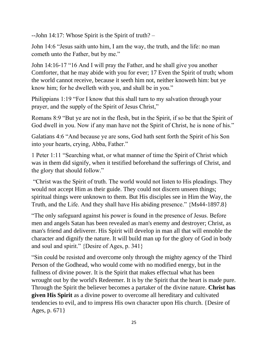--John 14:17: Whose Spirit is the Spirit of truth? –

John 14:6 "Jesus saith unto him, I am the way, the truth, and the life: no man cometh unto the Father, but by me."

John 14:16-17 "16 And I will pray the Father, and he shall give you another Comforter, that he may abide with you for ever; 17 Even the Spirit of truth; whom the world cannot receive, because it seeth him not, neither knoweth him: but ye know him; for he dwelleth with you, and shall be in you."

Philippians 1:19 "For I know that this shall turn to my salvation through your prayer, and the supply of the Spirit of Jesus Christ,"

Romans 8:9 "But ye are not in the flesh, but in the Spirit, if so be that the Spirit of God dwell in you. Now if any man have not the Spirit of Christ, he is none of his."

Galatians 4:6 "And because ye are sons, God hath sent forth the Spirit of his Son into your hearts, crying, Abba, Father."

1 Peter 1:11 "Searching what, or what manner of time the Spirit of Christ which was in them did signify, when it testified beforehand the sufferings of Christ, and the glory that should follow."

"Christ was the Spirit of truth. The world would not listen to His pleadings. They would not accept Him as their guide. They could not discern unseen things; spiritual things were unknown to them. But His disciples see in Him the Way, the Truth, and the Life. And they shall have His abiding presence." {Ms44-1897.8}

"The only safeguard against his power is found in the presence of Jesus. Before men and angels Satan has been revealed as man's enemy and destroyer; Christ, as man's friend and deliverer. His Spirit will develop in man all that will ennoble the character and dignify the nature. It will build man up for the glory of God in body and soul and spirit." {Desire of Ages, p. 341}

"Sin could be resisted and overcome only through the mighty agency of the Third Person of the Godhead, who would come with no modified energy, but in the fullness of divine power. It is the Spirit that makes effectual what has been wrought out by the world's Redeemer. It is by the Spirit that the heart is made pure. Through the Spirit the believer becomes a partaker of the divine nature. **Christ has given His Spirit** as a divine power to overcome all hereditary and cultivated tendencies to evil, and to impress His own character upon His church. {Desire of Ages, p. 671}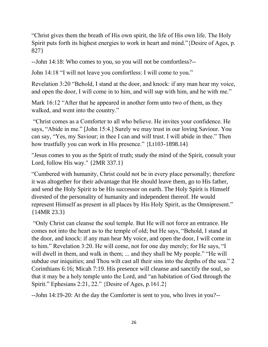"Christ gives them the breath of His own spirit, the life of His own life. The Holy Spirit puts forth its highest energies to work in heart and mind."{Desire of Ages, p. 827}

--John 14:18: Who comes to you, so you will not be comfortless?--

John 14:18 "I will not leave you comfortless: I will come to you."

Revelation 3:20 "Behold, I stand at the door, and knock: if any man hear my voice, and open the door, I will come in to him, and will sup with him, and he with me."

Mark 16:12 "After that he appeared in another form unto two of them, as they walked, and went into the country."

"Christ comes as a Comforter to all who believe. He invites your confidence. He says, "Abide in me." [John 15:4.] Surely we may trust in our loving Saviour. You can say, "Yes, my Saviour; in thee I can and will trust. I will abide in thee." Then how trustfully you can work in His presence." {Lt103-1898.14}

"Jesus comes to you as the Spirit of truth; study the mind of the Spirit, consult your Lord, follow His way." {2MR 337.1}

"Cumbered with humanity, Christ could not be in every place personally; therefore it was altogether for their advantage that He should leave them, go to His father, and send the Holy Spirit to be His successor on earth. The Holy Spirit is Himself divested of the personality of humanity and independent thereof. He would represent Himself as present in all places by His Holy Spirit, as the Omnipresent." {14MR 23.3}

"Only Christ can cleanse the soul temple. But He will not force an entrance. He comes not into the heart as to the temple of old; but He says, "Behold, I stand at the door, and knock: if any man hear My voice, and open the door, I will come in to him." Revelation 3:20. He will come, not for one day merely; for He says, "I will dwell in them, and walk in them; ... and they shall be My people." "He will subdue our iniquities; and Thou wilt cast all their sins into the depths of the sea." 2 Corinthians 6:16; Micah 7:19. His presence will cleanse and sanctify the soul, so that it may be a holy temple unto the Lord, and "an habitation of God through the Spirit." Ephesians 2:21, 22." {Desire of Ages, p.161.2}

--John 14:19-20: At the day the Comforter is sent to you, who lives in you?--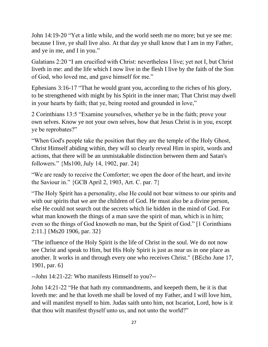John 14:19-20 "Yet a little while, and the world seeth me no more; but ye see me: because I live, ye shall live also. At that day ye shall know that I am in my Father, and ye in me, and I in you."

Galatians 2:20 "I am crucified with Christ: nevertheless I live; yet not I, but Christ liveth in me: and the life which I now live in the flesh I live by the faith of the Son of God, who loved me, and gave himself for me."

Ephesians 3:16-17 "That he would grant you, according to the riches of his glory, to be strengthened with might by his Spirit in the inner man; That Christ may dwell in your hearts by faith; that ye, being rooted and grounded in love,"

2 Corinthians 13:5 "Examine yourselves, whether ye be in the faith; prove your own selves. Know ye not your own selves, how that Jesus Christ is in you, except ye be reprobates?"

"When God's people take the position that they are the temple of the Holy Ghost, Christ Himself abiding within, they will so clearly reveal Him in spirit, words and actions, that there will be an unmistakable distinction between them and Satan's followers." {Ms100, July 14, 1902, par. 24}

"We are ready to receive the Comforter; we open the door of the heart, and invite the Saviour in." {GCB April 2, 1903, Art. C. par. 7}

"The Holy Spirit has a personality, else He could not bear witness to our spirits and with our spirits that we are the children of God. He must also be a divine person, else He could not search out the secrets which lie hidden in the mind of God. For what man knoweth the things of a man save the spirit of man, which is in him; even so the things of God knoweth no man, but the Spirit of God." [1 Corinthians 2:11.] {Ms20 1906, par. 32}

"The influence of the Holy Spirit is the life of Christ in the soul. We do not now see Christ and speak to Him, but His Holy Spirit is just as near us in one place as another. It works in and through every one who receives Christ." {BEcho June 17, 1901, par. 6}

--John 14:21-22: Who manifests Himself to you?--

John 14:21-22 "He that hath my commandments, and keepeth them, he it is that loveth me: and he that loveth me shall be loved of my Father, and I will love him, and will manifest myself to him. Judas saith unto him, not Iscariot, Lord, how is it that thou wilt manifest thyself unto us, and not unto the world?"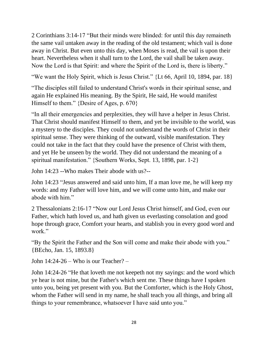2 Corinthians 3:14-17 "But their minds were blinded: for until this day remaineth the same vail untaken away in the reading of the old testament; which vail is done away in Christ. But even unto this day, when Moses is read, the vail is upon their heart. Nevertheless when it shall turn to the Lord, the vail shall be taken away. Now the Lord is that Spirit: and where the Spirit of the Lord is, there is liberty."

"We want the Holy Spirit, which is Jesus Christ." {Lt 66, April 10, 1894, par. 18}

"The disciples still failed to understand Christ's words in their spiritual sense, and again He explained His meaning. By the Spirit, He said, He would manifest Himself to them." {Desire of Ages, p. 670}

"In all their emergencies and perplexities, they will have a helper in Jesus Christ. That Christ should manifest Himself to them, and yet be invisible to the world, was a mystery to the disciples. They could not understand the words of Christ in their spiritual sense. They were thinking of the outward, visible manifestation. They could not take in the fact that they could have the presence of Christ with them, and yet He be unseen by the world. They did not understand the meaning of a spiritual manifestation." {Southern Works, Sept. 13, 1898, par. 1-2}

John 14:23 --Who makes Their abode with us?--

John 14:23 "Jesus answered and said unto him, If a man love me, he will keep my words: and my Father will love him, and we will come unto him, and make our abode with him."

2 Thessalonians 2:16-17 "Now our Lord Jesus Christ himself, and God, even our Father, which hath loved us, and hath given us everlasting consolation and good hope through grace, Comfort your hearts, and stablish you in every good word and work."

"By the Spirit the Father and the Son will come and make their abode with you." {BEcho, Jan. 15, 1893.8}

John 14:24-26 – Who is our Teacher? –

John 14:24-26 "He that loveth me not keepeth not my sayings: and the word which ye hear is not mine, but the Father's which sent me. These things have I spoken unto you, being yet present with you. But the Comforter, which is the Holy Ghost, whom the Father will send in my name, he shall teach you all things, and bring all things to your remembrance, whatsoever I have said unto you."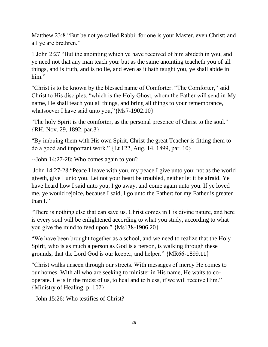Matthew 23:8 "But be not ye called Rabbi: for one is your Master, even Christ; and all ye are brethren."

1 John 2:27 "But the anointing which ye have received of him abideth in you, and ye need not that any man teach you: but as the same anointing teacheth you of all things, and is truth, and is no lie, and even as it hath taught you, ye shall abide in him."

"Christ is to be known by the blessed name of Comforter. "The Comforter," said Christ to His disciples, "which is the Holy Ghost, whom the Father will send in My name, He shall teach you all things, and bring all things to your remembrance, whatsoever I have said unto you,"{Ms7-1902.10}

"The holy Spirit is the comforter, as the personal presence of Christ to the soul." {RH, Nov. 29, 1892, par.3}

"By imbuing them with His own Spirit, Christ the great Teacher is fitting them to do a good and important work." {Lt 122, Aug. 14, 1899, par. 10}

 $-$ John 14:27-28: Who comes again to you?—

John 14:27-28 "Peace I leave with you, my peace I give unto you: not as the world giveth, give I unto you. Let not your heart be troubled, neither let it be afraid. Ye have heard how I said unto you, I go away, and come again unto you. If ye loved me, ye would rejoice, because I said, I go unto the Father: for my Father is greater than I."

"There is nothing else that can save us. Christ comes in His divine nature, and here is every soul will be enlightened according to what you study, according to what you give the mind to feed upon." {Ms138-1906.20}

"We have been brought together as a school, and we need to realize that the Holy Spirit, who is as much a person as God is a person, is walking through these grounds, that the Lord God is our keeper, and helper." {MR66-1899.11}

"Christ walks unseen through our streets. With messages of mercy He comes to our homes. With all who are seeking to minister in His name, He waits to cooperate. He is in the midst of us, to heal and to bless, if we will receive Him." {Ministry of Healing, p. 107}

--John 15:26: Who testifies of Christ? –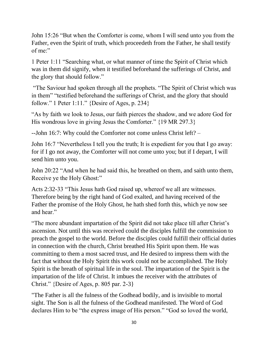John 15:26 "But when the Comforter is come, whom I will send unto you from the Father, even the Spirit of truth, which proceedeth from the Father, he shall testify of me:"

1 Peter 1:11 "Searching what, or what manner of time the Spirit of Christ which was in them did signify, when it testified beforehand the sufferings of Christ, and the glory that should follow."

"The Saviour had spoken through all the prophets. "The Spirit of Christ which was in them" "testified beforehand the sufferings of Christ, and the glory that should follow." 1 Peter 1:11." {Desire of Ages, p. 234}

"As by faith we look to Jesus, our faith pierces the shadow, and we adore God for His wondrous love in giving Jesus the Comforter." {19 MR 297.3}

--John 16:7: Why could the Comforter not come unless Christ left? –

John 16:7 "Nevertheless I tell you the truth; It is expedient for you that I go away: for if I go not away, the Comforter will not come unto you; but if I depart, I will send him unto you.

John 20:22 "And when he had said this, he breathed on them, and saith unto them, Receive ye the Holy Ghost:"

Acts 2:32-33 "This Jesus hath God raised up, whereof we all are witnesses. Therefore being by the right hand of God exalted, and having received of the Father the promise of the Holy Ghost, he hath shed forth this, which ye now see and hear."

"The more abundant impartation of the Spirit did not take place till after Christ's ascension. Not until this was received could the disciples fulfill the commission to preach the gospel to the world. Before the disciples could fulfill their official duties in connection with the church, Christ breathed His Spirit upon them. He was committing to them a most sacred trust, and He desired to impress them with the fact that without the Holy Spirit this work could not be accomplished. The Holy Spirit is the breath of spiritual life in the soul. The impartation of the Spirit is the impartation of the life of Christ. It imbues the receiver with the attributes of Christ." {Desire of Ages, p. 805 par. 2-3}

"The Father is all the fulness of the Godhead bodily, and is invisible to mortal sight. The Son is all the fulness of the Godhead manifested. The Word of God declares Him to be "the express image of His person." "God so loved the world,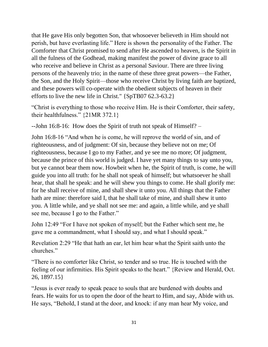that He gave His only begotten Son, that whosoever believeth in Him should not perish, but have everlasting life." Here is shown the personality of the Father. The Comforter that Christ promised to send after He ascended to heaven, is the Spirit in all the fulness of the Godhead, making manifest the power of divine grace to all who receive and believe in Christ as a personal Saviour. There are three living persons of the heavenly trio; in the name of these three great powers—the Father, the Son, and the Holy Spirit—those who receive Christ by living faith are baptized, and these powers will co-operate with the obedient subjects of heaven in their efforts to live the new life in Christ." {SpTB07 62.3-63.2}

"Christ is everything to those who receive Him. He is their Comforter, their safety, their healthfulness." {21MR 372.1}

--John 16:8-16: How does the Spirit of truth not speak of Himself? –

John 16:8-16 "And when he is come, he will reprove the world of sin, and of righteousness, and of judgment: Of sin, because they believe not on me; Of righteousness, because I go to my Father, and ye see me no more; Of judgment, because the prince of this world is judged. I have yet many things to say unto you, but ye cannot bear them now. Howbeit when he, the Spirit of truth, is come, he will guide you into all truth: for he shall not speak of himself; but whatsoever he shall hear, that shall he speak: and he will shew you things to come. He shall glorify me: for he shall receive of mine, and shall shew it unto you. All things that the Father hath are mine: therefore said I, that he shall take of mine, and shall shew it unto you. A little while, and ye shall not see me: and again, a little while, and ye shall see me, because I go to the Father."

John 12:49 "For I have not spoken of myself; but the Father which sent me, he gave me a commandment, what I should say, and what I should speak."

Revelation 2:29 "He that hath an ear, let him hear what the Spirit saith unto the churches."

"There is no comforter like Christ, so tender and so true. He is touched with the feeling of our infirmities. His Spirit speaks to the heart." {Review and Herald, Oct. 26, 1897.15}

"Jesus is ever ready to speak peace to souls that are burdened with doubts and fears. He waits for us to open the door of the heart to Him, and say, Abide with us. He says, "Behold, I stand at the door, and knock: if any man hear My voice, and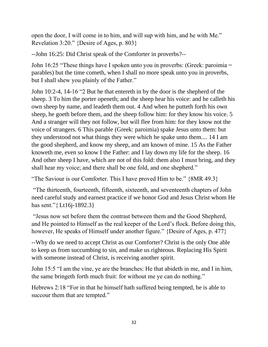open the door, I will come in to him, and will sup with him, and he with Me." Revelation 3:20." {Desire of Ages, p. 803}

--John 16:25: Did Christ speak of the Comforter in proverbs?--

John 16:25 "These things have I spoken unto you in proverbs: (Greek: paroimia = parables) but the time cometh, when I shall no more speak unto you in proverbs, but I shall shew you plainly of the Father."

John 10:2-4, 14-16 "2 But he that entereth in by the door is the shepherd of the sheep. 3 To him the porter openeth; and the sheep hear his voice: and he calleth his own sheep by name, and leadeth them out. 4 And when he putteth forth his own sheep, he goeth before them, and the sheep follow him: for they know his voice. 5 And a stranger will they not follow, but will flee from him: for they know not the voice of strangers. 6 This parable (Greek: paroimia) spake Jesus unto them: but they understood not what things they were which he spake unto them.... 14 I am the good shepherd, and know my sheep, and am known of mine. 15 As the Father knoweth me, even so know I the Father: and I lay down my life for the sheep. 16 And other sheep I have, which are not of this fold: them also I must bring, and they shall hear my voice; and there shall be one fold, and one shepherd."

"The Saviour is our Comforter. This I have proved Him to be." {8MR 49.3}

"The thirteenth, fourteenth, fifteenth, sixteenth, and seventeenth chapters of John need careful study and earnest practice if we honor God and Jesus Christ whom He has sent."{ Lt16j-1892.3}

"Jesus now set before them the contrast between them and the Good Shepherd, and He pointed to Himself as the real keeper of the Lord's flock. Before doing this, however, He speaks of Himself under another figure." {Desire of Ages, p. 477}

--Why do we need to accept Christ as our Comforter? Christ is the only One able to keep us from succumbing to sin, and make us righteous. Replacing His Spirit with someone instead of Christ, is receiving another spirit.

John 15:5 "I am the vine, ye are the branches: He that abideth in me, and I in him, the same bringeth forth much fruit: for without me ye can do nothing."

Hebrews 2:18 "For in that he himself hath suffered being tempted, he is able to succour them that are tempted."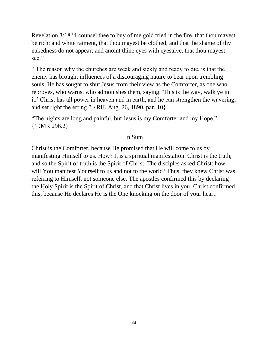Revelation 3:18 "I counsel thee to buy of me gold tried in the fire, that thou mayest be rich; and white raiment, that thou mayest be clothed, and that the shame of thy nakedness do not appear; and anoint thine eyes with eyesalve, that thou mayest see."

"The reason why the churches are weak and sickly and ready to die, is that the enemy has brought influences of a discouraging nature to bear upon trembling souls. He has sought to shut Jesus from their view as the Comforter, as one who reproves, who warns, who admonishes them, saying, 'This is the way, walk ye in it.' Christ has all power in heaven and in earth, and he can strengthen the wavering, and set right the erring." {RH, Aug. 26, 1890, par. 10}

"The nights are long and painful, but Jesus is my Comforter and my Hope." {19MR 296.2}

#### In Sum

Christ is the Comforter, because He promised that He will come to us by manifesting Himself to us. How? It is a spiritual manifestation. Christ is the truth, and so the Spirit of truth is the Spirit of Christ. The disciples asked Christ: how will You manifest Yourself to us and not to the world? Thus, they knew Christ was referring to Himself, not someone else. The apostles confirmed this by declaring the Holy Spirit is the Spirit of Christ, and that Christ lives in you. Christ confirmed this, because He declares He is the One knocking on the door of your heart.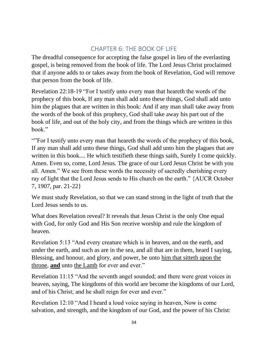# CHAPTER 6: THE BOOK OF LIFE

<span id="page-33-0"></span>The dreadful consequence for accepting the false gospel in lieu of the everlasting gospel, is being removed from the book of life. The Lord Jesus Christ proclaimed that if anyone adds to or takes away from the book of Revelation, God will remove that person from the book of life.

Revelation 22:18-19 "For I testify unto every man that heareth the words of the prophecy of this book, If any man shall add unto these things, God shall add unto him the plagues that are written in this book: And if any man shall take away from the words of the book of this prophecy, God shall take away his part out of the book of life, and out of the holy city, and from the things which are written in this book."

""For I testify unto every man that heareth the words of the prophecy of this book, If any man shall add unto these things, God shall add unto him the plagues that are written in this book.... He which testifieth these things saith, Surely I come quickly. Amen. Even so, come, Lord Jesus. The grace of our Lord Jesus Christ be with you all. Amen." We see from these words the necessity of sacredly cherishing every ray of light that the Lord Jesus sends to His church on the earth." {AUCR October 7, 1907, par. 21-22}

We must study Revelation, so that we can stand strong in the light of truth that the Lord Jesus sends to us.

What does Revelation reveal? It reveals that Jesus Christ is the only One equal with God, for only God and His Son receive worship and rule the kingdom of heaven.

Revelation 5:13 "And every creature which is in heaven, and on the earth, and under the earth, and such as are in the sea, and all that are in them, heard I saying, Blessing, and honour, and glory, and power, be unto him that sitteth upon the throne, **and** unto the Lamb for ever and ever."

Revelation 11:15 "And the seventh angel sounded; and there were great voices in heaven, saying, The kingdoms of this world are become the kingdoms of our Lord, and of his Christ; and he shall reign for ever and ever."

Revelation 12:10 "And I heard a loud voice saying in heaven, Now is come salvation, and strength, and the kingdom of our God, and the power of his Christ: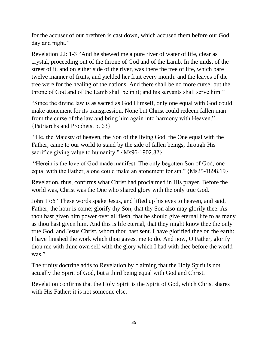for the accuser of our brethren is cast down, which accused them before our God day and night."

Revelation 22: 1-3 "And he shewed me a pure river of water of life, clear as crystal, proceeding out of the throne of God and of the Lamb. In the midst of the street of it, and on either side of the river, was there the tree of life, which bare twelve manner of fruits, and yielded her fruit every month: and the leaves of the tree were for the healing of the nations. And there shall be no more curse: but the throne of God and of the Lamb shall be in it; and his servants shall serve him:"

"Since the divine law is as sacred as God Himself, only one equal with God could make atonement for its transgression. None but Christ could redeem fallen man from the curse of the law and bring him again into harmony with Heaven." {Patriarchs and Prophets, p. 63}

"He, the Majesty of heaven, the Son of the living God, the One equal with the Father, came to our world to stand by the side of fallen beings, through His sacrifice giving value to humanity." {Ms96-1902.32}

"Herein is the love of God made manifest. The only begotten Son of God, one equal with the Father, alone could make an atonement for sin." {Ms25-1898.19}

Revelation, thus, confirms what Christ had proclaimed in His prayer. Before the world was, Christ was the One who shared glory with the only true God.

John 17:5 "These words spake Jesus, and lifted up his eyes to heaven, and said, Father, the hour is come; glorify thy Son, that thy Son also may glorify thee: As thou hast given him power over all flesh, that he should give eternal life to as many as thou hast given him. And this is life eternal, that they might know thee the only true God, and Jesus Christ, whom thou hast sent. I have glorified thee on the earth: I have finished the work which thou gavest me to do. And now, O Father, glorify thou me with thine own self with the glory which I had with thee before the world was."

The trinity doctrine adds to Revelation by claiming that the Holy Spirit is not actually the Spirit of God, but a third being equal with God and Christ.

Revelation confirms that the Holy Spirit is the Spirit of God, which Christ shares with His Father; it is not someone else.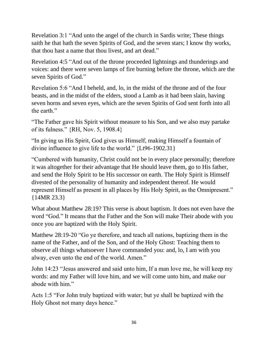Revelation 3:1 "And unto the angel of the church in Sardis write; These things saith he that hath the seven Spirits of God, and the seven stars; I know thy works, that thou hast a name that thou livest, and art dead."

Revelation 4:5 "And out of the throne proceeded lightnings and thunderings and voices: and there were seven lamps of fire burning before the throne, which are the seven Spirits of God."

Revelation 5:6 "And I beheld, and, lo, in the midst of the throne and of the four beasts, and in the midst of the elders, stood a Lamb as it had been slain, having seven horns and seven eyes, which are the seven Spirits of God sent forth into all the earth."

"The Father gave his Spirit without measure to his Son, and we also may partake of its fulness." {RH, Nov. 5, 1908.4}

"In giving us His Spirit, God gives us Himself, making Himself a fountain of divine influence to give life to the world." {Lt96-1902.31}

"Cumbered with humanity, Christ could not be in every place personally; therefore it was altogether for their advantage that He should leave them, go to His father, and send the Holy Spirit to be His successor on earth. The Holy Spirit is Himself divested of the personality of humanity and independent thereof. He would represent Himself as present in all places by His Holy Spirit, as the Omnipresent." {14MR 23.3}

What about Matthew 28:19? This verse is about baptism. It does not even have the word "God." It means that the Father and the Son will make Their abode with you once you are baptized with the Holy Spirit.

Matthew 28:19-20 "Go ye therefore, and teach all nations, baptizing them in the name of the Father, and of the Son, and of the Holy Ghost: Teaching them to observe all things whatsoever I have commanded you: and, lo, I am with you alway, even unto the end of the world. Amen."

John 14:23 "Jesus answered and said unto him, If a man love me, he will keep my words: and my Father will love him, and we will come unto him, and make our abode with him."

Acts 1:5 "For John truly baptized with water; but ye shall be baptized with the Holy Ghost not many days hence."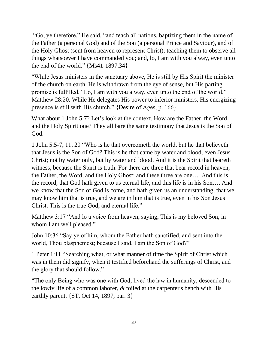"Go, ye therefore," He said, "and teach all nations, baptizing them in the name of the Father (a personal God) and of the Son (a personal Prince and Saviour), and of the Holy Ghost (sent from heaven to represent Christ); teaching them to observe all things whatsoever I have commanded you; and, lo, I am with you alway, even unto the end of the world." {Ms41-1897.34}

"While Jesus ministers in the sanctuary above, He is still by His Spirit the minister of the church on earth. He is withdrawn from the eye of sense, but His parting promise is fulfilled, "Lo, I am with you alway, even unto the end of the world." Matthew 28:20. While He delegates His power to inferior ministers, His energizing presence is still with His church." {Desire of Ages, p. 166}

What about 1 John 5:7? Let's look at the context. How are the Father, the Word, and the Holy Spirit one? They all bare the same testimony that Jesus is the Son of God.

1 John 5:5-7, 11, 20 "Who is he that overcometh the world, but he that believeth that Jesus is the Son of God? This is he that came by water and blood, even Jesus Christ; not by water only, but by water and blood. And it is the Spirit that beareth witness, because the Spirit is truth. For there are three that bear record in heaven, the Father, the Word, and the Holy Ghost: and these three are one…. And this is the record, that God hath given to us eternal life, and this life is in his Son…. And we know that the Son of God is come, and hath given us an understanding, that we may know him that is true, and we are in him that is true, even in his Son Jesus Christ. This is the true God, and eternal life."

Matthew 3:17 "And lo a voice from heaven, saying, This is my beloved Son, in whom I am well pleased."

John 10:36 "Say ye of him, whom the Father hath sanctified, and sent into the world, Thou blasphemest; because I said, I am the Son of God?"

1 Peter 1:11 "Searching what, or what manner of time the Spirit of Christ which was in them did signify, when it testified beforehand the sufferings of Christ, and the glory that should follow."

"The only Being who was one with God, lived the law in humanity, descended to the lowly life of a common laborer, & toiled at the carpenter's bench with His earthly parent.  $\{ST, Oct 14, 1897, par. 3\}$